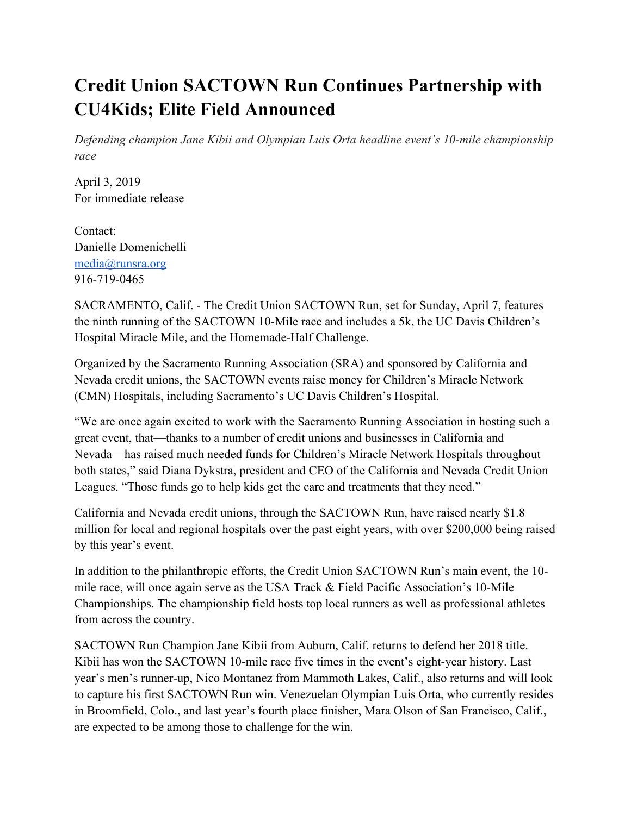## **Credit Union SACTOWN Run Continues Partnership with CU4Kids; Elite Field Announced**

*Defending champion Jane Kibii and Olympian Luis Orta headline event's 10-mile championship race*

April 3, 2019 For immediate release

Contact: Danielle Domenichelli media@runsra.org 916-719-0465

SACRAMENTO, Calif. - The Credit Union SACTOWN Run, set for Sunday, April 7, features the ninth running of the SACTOWN 10-Mile race and includes a 5k, the UC Davis Children's Hospital Miracle Mile, and the Homemade-Half Challenge.

Organized by the Sacramento Running Association (SRA) and sponsored by California and Nevada credit unions, the SACTOWN events raise money for Children's Miracle Network (CMN) Hospitals, including Sacramento's UC Davis Children's Hospital.

"We are once again excited to work with the Sacramento Running Association in hosting such a great event, that—thanks to a number of credit unions and businesses in California and Nevada—has raised much needed funds for Children's Miracle Network Hospitals throughout both states," said Diana Dykstra, president and CEO of the California and Nevada Credit Union Leagues. "Those funds go to help kids get the care and treatments that they need."

California and Nevada credit unions, through the SACTOWN Run, have raised nearly \$1.8 million for local and regional hospitals over the past eight years, with over \$200,000 being raised by this year's event.

In addition to the philanthropic efforts, the Credit Union SACTOWN Run's main event, the 10 mile race, will once again serve as the USA Track & Field Pacific Association's 10-Mile Championships. The championship field hosts top local runners as well as professional athletes from across the country.

SACTOWN Run Champion Jane Kibii from Auburn, Calif. returns to defend her 2018 title. Kibii has won the SACTOWN 10-mile race five times in the event's eight-year history. Last year's men's runner-up, Nico Montanez from Mammoth Lakes, Calif., also returns and will look to capture his first SACTOWN Run win. Venezuelan Olympian Luis Orta, who currently resides in Broomfield, Colo., and last year's fourth place finisher, Mara Olson of San Francisco, Calif., are expected to be among those to challenge for the win.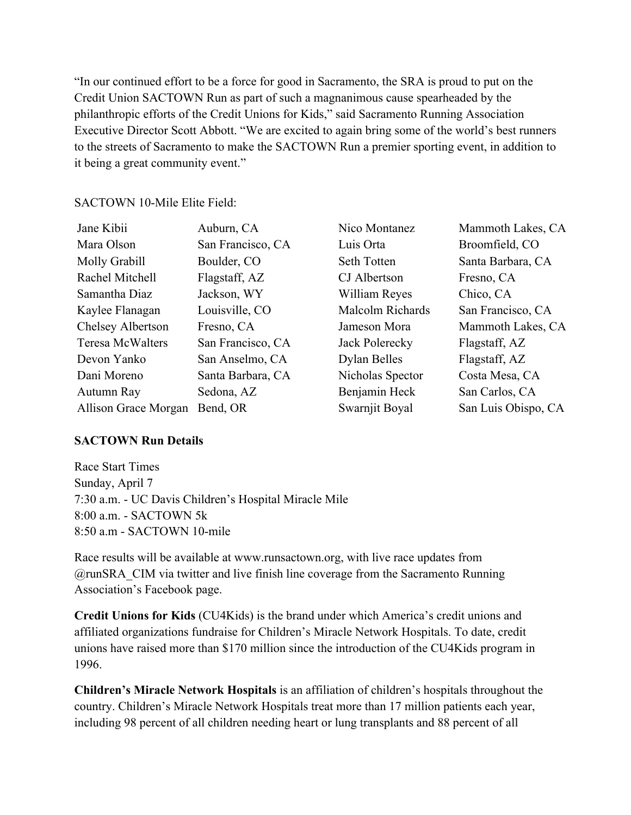"In our continued effort to be a force for good in Sacramento, the SRA is proud to put on the Credit Union SACTOWN Run as part of such a magnanimous cause spearheaded by the philanthropic efforts of the Credit Unions for Kids," said Sacramento Running Association Executive Director Scott Abbott. "We are excited to again bring some of the world's best runners to the streets of Sacramento to make the SACTOWN Run a premier sporting event, in addition to it being a great community event."

## SACTOWN 10-Mile Elite Field:

| Jane Kibii              | Auburn, CA        | Nico Montanez      | Mammoth Lakes, CA   |
|-------------------------|-------------------|--------------------|---------------------|
| Mara Olson              | San Francisco, CA | Luis Orta          | Broomfield, CO      |
| Molly Grabill           | Boulder, CO       | <b>Seth Totten</b> | Santa Barbara, CA   |
| Rachel Mitchell         | Flagstaff, AZ     | CJ Albertson       | Fresno, CA          |
| Samantha Diaz           | Jackson, WY       | William Reyes      | Chico, CA           |
| Kaylee Flanagan         | Louisville, CO    | Malcolm Richards   | San Francisco, CA   |
| Chelsey Albertson       | Fresno, CA        | Jameson Mora       | Mammoth Lakes, CA   |
| <b>Teresa McWalters</b> | San Francisco, CA | Jack Polerecky     | Flagstaff, AZ       |
| Devon Yanko             | San Anselmo, CA   | Dylan Belles       | Flagstaff, AZ       |
| Dani Moreno             | Santa Barbara, CA | Nicholas Spector   | Costa Mesa, CA      |
| Autumn Ray              | Sedona, AZ        | Benjamin Heck      | San Carlos, CA      |
| Allison Grace Morgan    | Bend, OR          | Swarnjit Boyal     | San Luis Obispo, CA |
|                         |                   |                    |                     |

## **SACTOWN Run Details**

Race Start Times Sunday, April 7 7:30 a.m. - UC Davis Children's Hospital Miracle Mile 8:00 a.m. - SACTOWN 5k 8:50 a.m - SACTOWN 10-mile

Race results will be available at www.runsactown.org, with live race updates from @runSRA\_CIM via twitter and live finish line coverage from the Sacramento Running Association's Facebook page.

**Credit Unions for Kids** (CU4Kids) is the brand under which America's credit unions and affiliated organizations fundraise for Children's Miracle Network Hospitals. To date, credit unions have raised more than \$170 million since the introduction of the CU4Kids program in 1996.

**Children's Miracle Network Hospitals** is an affiliation of children's hospitals throughout the country. Children's Miracle Network Hospitals treat more than 17 million patients each year, including 98 percent of all children needing heart or lung transplants and 88 percent of all